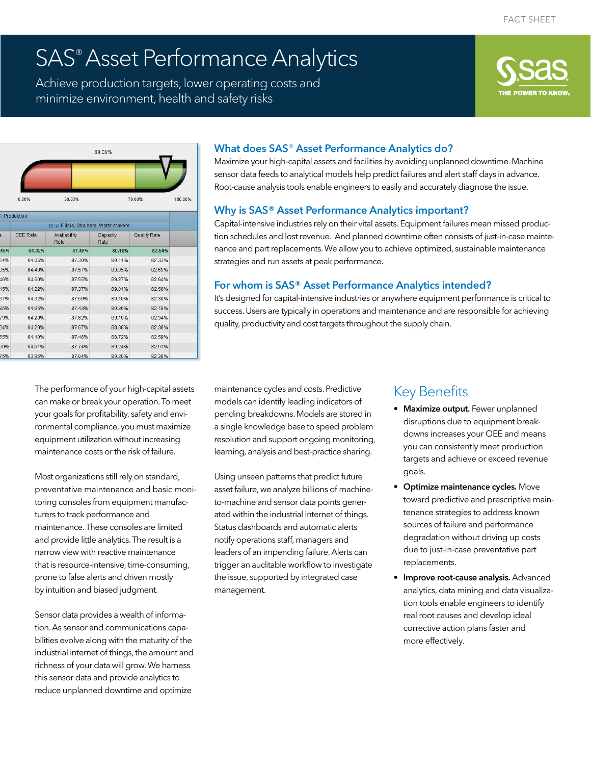# SAS® Asset Performance Analytics

Achieve production targets, lower operating costs and minimize environment, health and safety risks





|     | Production                          |                      |                  |              |  |
|-----|-------------------------------------|----------------------|------------------|--------------|--|
|     | 田国 Filters, Strainers, Water makers |                      |                  |              |  |
| ś.  | OEE Rate                            | Avaliability<br>Rate | Capacity<br>Rate | Quality Rate |  |
| 45% | 64.32%                              | 87.48%               | 89.10%           | 82.50%       |  |
| 54% | 64.05%                              | 87.30%               | 89.11%           | 82.33%       |  |
| 35% | 64.49%                              | 87.57%               | 89.05%           | 82.69%       |  |
| 46% | 64.60%                              | 87.55%               | 89.27%           | 82.64%       |  |
| 15% | 64.22%                              | 87.37%               | 89.01%           | 82.56%       |  |
| 37% | 64.32%                              | 87.59%               | 89.10%           | 82.39%       |  |
| 35% | 64.66%                              | 87.43%               | 89.36%           | 82.78%       |  |
| 79% | 64.28%                              | 87.62%               | 89.10%           | 82.34%       |  |
| 34% | 64.20%                              | 87.67%               | 88.88%           | 82.38%       |  |
| 55% | 64.10%                              | 87.46%               | 88.72%           | 82.59%       |  |
| 50% | 64.61%                              | 87.74%               | 89.24%           | 82.51%       |  |
| 76% | 63.95%                              | 87.04%               | 89.20%           | 82.38%       |  |

#### What does SAS® Asset Performance Analytics do?

Maximize your high-capital assets and facilities by avoiding unplanned downtime. Machine sensor data feeds to analytical models help predict failures and alert staff days in advance. Root-cause analysis tools enable engineers to easily and accurately diagnose the issue.

#### Why is SAS® Asset Performance Analytics important?

Capital-intensive industries rely on their vital assets. Equipment failures mean missed production schedules and lost revenue. And planned downtime often consists of just-in-case maintenance and part replacements. We allow you to achieve optimized, sustainable maintenance strategies and run assets at peak performance.

#### For whom is SAS® Asset Performance Analytics intended?

It's designed for capital-intensive industries or anywhere equipment performance is critical to success. Users are typically in operations and maintenance and are responsible for achieving quality, productivity and cost targets throughout the supply chain.

The performance of your high-capital assets can make or break your operation. To meet your goals for profitability, safety and environmental compliance, you must maximize equipment utilization without increasing maintenance costs or the risk of failure.

Most organizations still rely on standard, preventative maintenance and basic monitoring consoles from equipment manufacturers to track performance and maintenance. These consoles are limited and provide little analytics. The result is a narrow view with reactive maintenance that is resource-intensive, time-consuming, prone to false alerts and driven mostly by intuition and biased judgment.

Sensor data provides a wealth of information. As sensor and communications capabilities evolve along with the maturity of the industrial internet of things, the amount and richness of your data will grow. We harness this sensor data and provide analytics to reduce unplanned downtime and optimize

maintenance cycles and costs. Predictive models can identify leading indicators of pending breakdowns. Models are stored in a single knowledge base to speed problem resolution and support ongoing monitoring, learning, analysis and best-practice sharing.

Using unseen patterns that predict future asset failure, we analyze billions of machineto-machine and sensor data points generated within the industrial internet of things. Status dashboards and automatic alerts notify operations staff, managers and leaders of an impending failure. Alerts can trigger an auditable workflow to investigate the issue, supported by integrated case management.

# Key Benefits

- **Maximize output.** Fewer unplanned disruptions due to equipment breakdowns increases your OEE and means you can consistently meet production targets and achieve or exceed revenue goals.
- Optimize maintenance cycles. Move toward predictive and prescriptive maintenance strategies to address known sources of failure and performance degradation without driving up costs due to just-in-case preventative part replacements.
- Improve root-cause analysis. Advanced analytics, data mining and data visualization tools enable engineers to identify real root causes and develop ideal corrective action plans faster and more effectively.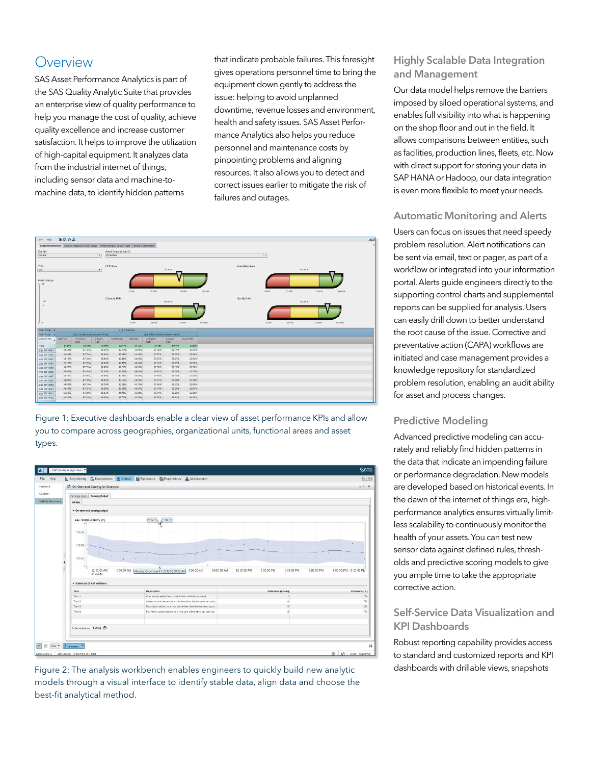## **Overview**

SAS Asset Performance Analytics is part of the SAS Quality Analytic Suite that provides an enterprise view of quality performance to help you manage the cost of quality, achieve quality excellence and increase customer satisfaction. It helps to improve the utilization of high-capital equipment. It analyzes data from the industrial internet of things, including sensor data and machine-tomachine data, to identify hidden patterns

that indicate probable failures. This foresight gives operations personnel time to bring the equipment down gently to address the issue: helping to avoid unplanned downtime, revenue losses and environment, health and safety issues. SAS Asset Performance Analytics also helps you reduce personnel and maintenance costs by pinpointing problems and aligning resources. It also allows you to detect and correct issues earlier to mitigate the risk of failures and outages.



Figure 1: Executive dashboards enable a clear view of asset performance KPIs and allow you to compare across geographies, organizational units, functional areas and asset types.



Figure 2: The analysis workbench enables engineers to quickly build new analytic models through a visual interface to identify stable data, align data and choose the best-fit analytical method.

#### Highly Scalable Data Integration and Management

Our data model helps remove the barriers imposed by siloed operational systems, and enables full visibility into what is happening on the shop floor and out in the field. It allows comparisons between entities, such as facilities, production lines, fleets, etc. Now with direct support for storing your data in SAP HANA or Hadoop, our data integration is even more flexible to meet your needs.

#### Automatic Monitoring and Alerts

Users can focus on issues that need speedy problem resolution. Alert notifications can be sent via email, text or pager, as part of a workflow or integrated into your information portal. Alerts guide engineers directly to the supporting control charts and supplemental reports can be supplied for analysis. Users can easily drill down to better understand the root cause of the issue. Corrective and preventative action (CAPA) workflows are initiated and case management provides a knowledge repository for standardized problem resolution, enabling an audit ability for asset and process changes.

#### Predictive Modeling

Advanced predictive modeling can accurately and reliably find hidden patterns in the data that indicate an impending failure or performance degradation. New models are developed based on historical events. In the dawn of the internet of things era, highperformance analytics ensures virtually limitless scalability to continuously monitor the health of your assets. You can test new sensor data against defined rules, thresholds and predictive scoring models to give you ample time to take the appropriate corrective action.

#### Self-Service Data Visualization and KPI Dashboards

Robust reporting capability provides access to standard and customized reports and KPI dashboards with drillable views, snapshots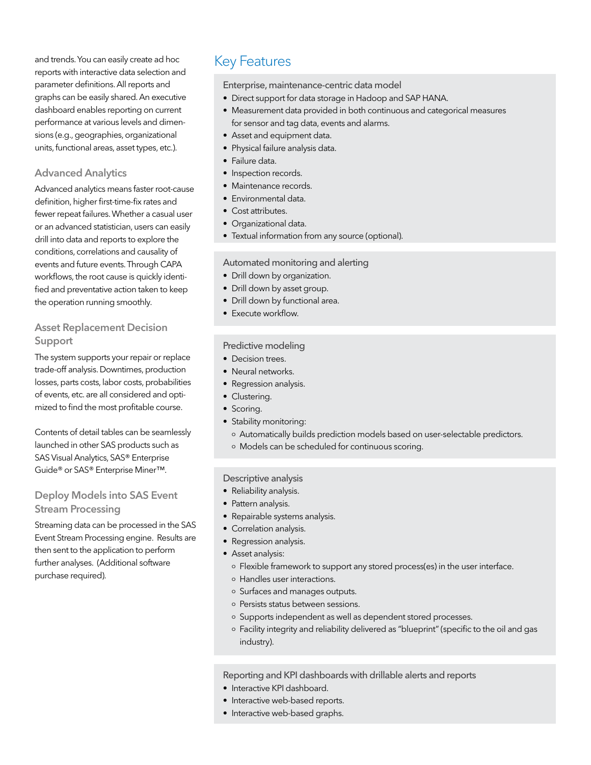and trends. You can easily create ad hoc Key Features reports with interactive data selection and parameter definitions. All reports and graphs can be easily shared. An executive dashboard enables reporting on current performance at various levels and dimensions (e.g., geographies, organizational units, functional areas, asset types, etc.).

#### Advanced Analytics

Advanced analytics means faster root-cause definition, higher first-time-fix rates and fewer repeat failures. Whether a casual user or an advanced statistician, users can easily drill into data and reports to explore the conditions, correlations and causality of events and future events. Through CAPA workflows, the root cause is quickly identified and preventative action taken to keep the operation running smoothly.

#### Asset Replacement Decision Support

The system supports your repair or replace trade-off analysis. Downtimes, production losses, parts costs, labor costs, probabilities of events, etc. are all considered and optimized to find the most profitable course.

Contents of detail tables can be seamlessly launched in other SAS products such as SAS Visual Analytics, SAS® Enterprise Guide® or SAS® Enterprise Miner™.

#### Deploy Models into SAS Event Stream Processing

Streaming data can be processed in the SAS Event Stream Processing engine. Results are then sent to the application to perform further analyses. (Additional software purchase required).

Enterprise, maintenance-centric data model

- Direct support for data storage in Hadoop and SAP HANA.
- Measurement data provided in both continuous and categorical measures for sensor and tag data, events and alarms.
- Asset and equipment data.
- Physical failure analysis data.
- Failure data.
- Inspection records.
- Maintenance records.
- Environmental data.
- Cost attributes.
- Organizational data.
- Textual information from any source (optional).

#### Automated monitoring and alerting

- Drill down by organization.
- Drill down by asset group.
- Drill down by functional area.
- Execute workflow.

#### Predictive modeling

- Decision trees.
- Neural networks.
- Regression analysis.
- Clustering.
- Scoring.
- Stability monitoring:
	- o Automatically builds prediction models based on user-selectable predictors.
	- o Models can be scheduled for continuous scoring.

#### Descriptive analysis

- Reliability analysis.
- Pattern analysis.
- Repairable systems analysis.
- Correlation analysis.
- Regression analysis.
- Asset analysis:
	- o Flexible framework to support any stored process(es) in the user interface.
	- o Handles user interactions.
	- o Surfaces and manages outputs.
	- o Persists status between sessions.
	- o Supports independent as well as dependent stored processes.
	- o Facility integrity and reliability delivered as "blueprint" (specific to the oil and gas industry).

Reporting and KPI dashboards with drillable alerts and reports

- Interactive KPI dashboard.
- Interactive web-based reports.
- Interactive web-based graphs.